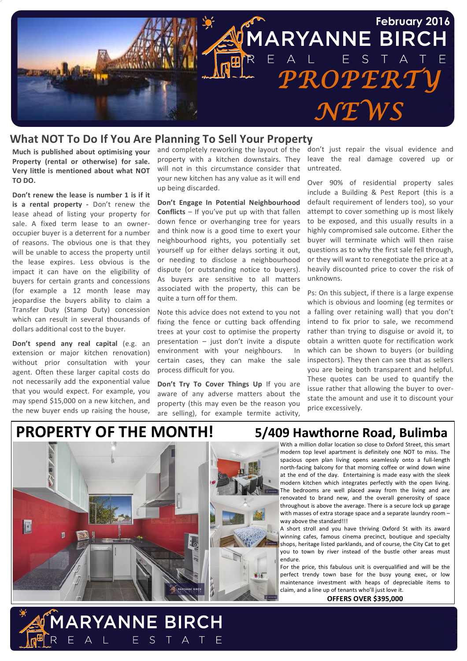

## **What NOT To Do If You Are Planning To Sell Your Property**

**Much is published about optimising your** Property (rental or otherwise) for sale. Very little is mentioned about what NOT **TO%DO.**

**Don't renew the lease is number 1 is if it is a rental property - Don't renew the** lease ahead of listing your property for sale. A fixed term lease to an owneroccupier buyer is a deterrent for a number of reasons. The obvious one is that they will be unable to access the property until the lease expires. Less obvious is the impact it can have on the eligibility of buyers for certain grants and concessions (for example a 12 month lease may jeopardise the buyers ability to claim a Transfer Duty (Stamp Duty) concession which can result in several thousands of dollars additional cost to the buyer.

**Don't spend any real capital** (e.g. an extension or major kitchen renovation) without prior consultation with your agent. Often these larger capital costs do not necessarily add the exponential value that you would expect. For example, you may spend \$15,000 on a new kitchen, and the new buyer ends up raising the house,

property with a kitchen downstairs. They will not in this circumstance consider that your new kitchen has any value as it will end up being discarded.

**Don't Engage In Potential Neighbourhood Conflicts** – If you've put up with that fallen down fence or overhanging tree for years and think now is a good time to exert your neighbourhood rights, you potentially set yourself up for either delays sorting it out, or needing to disclose a neighbourhood dispute (or outstanding notice to buyers). As buyers are sensitive to all matters associated with the property, this can be quite a turn off for them.

Note this advice does not extend to you not fixing the fence or cutting back offending trees at your cost to optimise the property presentation – just don't invite a dispute environment with your neighbours. In certain cases, they can make the sale process difficult for you.

**Don't Try To Cover Things Up If you are** aware of any adverse matters about the property (this may even be the reason you are selling), for example termite activity,

F

and completely reworking the layout of the don't just repair the visual evidence and leave the real damage covered up or untreated.!

> Over 90% of residential property sales include a Building & Pest Report (this is a default requirement of lenders too), so your attempt to cover something up is most likely to be exposed, and this usually results in a highly compromised sale outcome. Either the buyer will terminate which will then raise questions as to why the first sale fell through, or they will want to renegotiate the price at a heavily discounted price to cover the risk of unknowns.!

> Ps: On this subject, if there is a large expense which is obvious and looming (eg termites or a falling over retaining wall) that you don't intend to fix prior to sale, we recommend rather than trying to disguise or avoid it, to obtain a written quote for rectification work which can be shown to buyers (or building inspectors). They then can see that as sellers you are being both transparent and helpful. These quotes can be used to quantify the issue rather that allowing the buyer to overstate the amount and use it to discount your price excessively.

# **PROPERTY OF THE MONTH!** 5/409 Hawthorne Road, Bulimba



**ARYANNE BIRCH** 

 $E$  S

 $\top$ A

With a million dollar location so close to Oxford Street. this smart modern top level apartment is definitely one NOT to miss. The spacious open plan living opens seamlessly onto a full-length north-facing balcony for that morning coffee or wind down wine at the end of the day. Entertaining is made easy with the sleek modern kitchen which integrates perfectly with the open living. The bedrooms are well placed away from the living and are renovated to brand new, and the overall generosity of space throughout is above the average. There is a secure lock up garage with masses of extra storage space and a separate laundry room  $$ way above the standard!!!

A short stroll and you have thriving Oxford St with its award winning cafes, famous cinema precinct, boutique and specialty shops, heritage listed parklands, and of course, the City Cat to get you to town by river instead of the bustle other areas must endure.

For the price, this fabulous unit is overqualified and will be the perfect trendy town base for the busy young exec, or low maintenance investment with heaps of depreciable items to claim, and a line up of tenants who'll just love it.

**OFFERS%OVER%\$395,000**